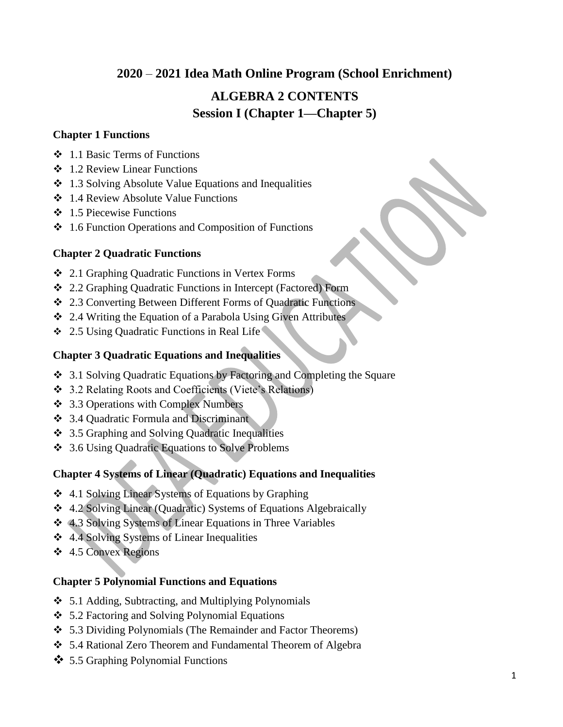## **2020** – **2021 Idea Math Online Program (School Enrichment)**

# **ALGEBRA 2 CONTENTS Session I (Chapter 1—Chapter 5)**

### **Chapter 1 Functions**

- $\div$  1.1 Basic Terms of Functions
- 1.2 Review Linear Functions
- 1.3 Solving Absolute Value Equations and Inequalities
- **❖** 1.4 Review Absolute Value Functions
- $\div$  1.5 Piecewise Functions
- $\div$  1.6 Function Operations and Composition of Functions

### **Chapter 2 Quadratic Functions**

- 2.1 Graphing Quadratic Functions in Vertex Forms
- 2.2 Graphing Quadratic Functions in Intercept (Factored) Form
- 2.3 Converting Between Different Forms of Quadratic Functions
- 2.4 Writing the Equation of a Parabola Using Given Attributes
- ◆ 2.5 Using Quadratic Functions in Real Life

### **Chapter 3 Quadratic Equations and Inequalities**

- 3.1 Solving Quadratic Equations by Factoring and Completing the Square
- 3.2 Relating Roots and Coefficients (Viete's Relations)
- **❖** 3.3 Operations with Complex Numbers
- 3.4 Quadratic Formula and Discriminant
- 3.5 Graphing and Solving Quadratic Inequalities
- 3.6 Using Quadratic Equations to Solve Problems

### **Chapter 4 Systems of Linear (Quadratic) Equations and Inequalities**

- 4.1 Solving Linear Systems of Equations by Graphing
- 4.2 Solving Linear (Quadratic) Systems of Equations Algebraically
- 4.3 Solving Systems of Linear Equations in Three Variables
- 4.4 Solving Systems of Linear Inequalities
- $\div$  4.5 Convex Regions

### **Chapter 5 Polynomial Functions and Equations**

- 5.1 Adding, Subtracting, and Multiplying Polynomials
- 5.2 Factoring and Solving Polynomial Equations
- 5.3 Dividing Polynomials (The Remainder and Factor Theorems)
- 5.4 Rational Zero Theorem and Fundamental Theorem of Algebra
- 5.5 Graphing Polynomial Functions